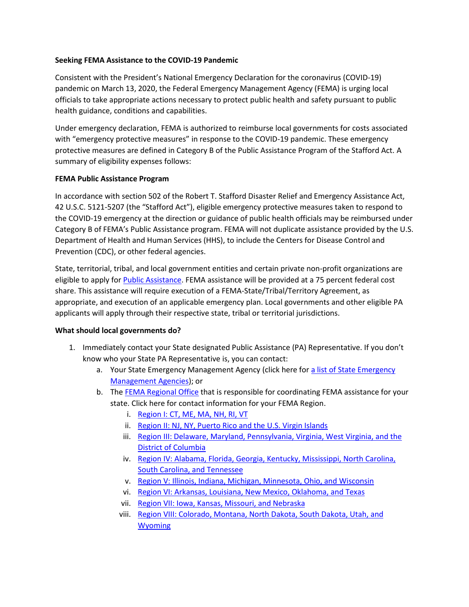### **Seeking FEMA Assistance to the COVID-19 Pandemic**

Consistent with the President's National Emergency Declaration for the coronavirus (COVID-19) pandemic on March 13, 2020, the Federal Emergency Management Agency (FEMA) is urging local officials to take appropriate actions necessary to protect public health and safety pursuant to public health guidance, conditions and capabilities.

Under emergency declaration, FEMA is authorized to reimburse local governments for costs associated with "emergency protective measures" in response to the COVID-19 pandemic. These emergency protective measures are defined in Category B of the Public Assistance Program of the Stafford Act. A summary of eligibility expenses follows:

## **FEMA Public Assistance Program**

In accordance with section 502 of the Robert T. Stafford Disaster Relief and Emergency Assistance Act, 42 U.S.C. 5121-5207 (the "Stafford Act"), eligible emergency protective measures taken to respond to the COVID-19 emergency at the direction or guidance of public health officials may be reimbursed under Category B of FEMA's Public Assistance program. FEMA will not duplicate assistance provided by the U.S. Department of Health and Human Services (HHS), to include the Centers for Disease Control and Prevention (CDC), or other federal agencies.

State, territorial, tribal, and local government entities and certain private non-profit organizations are eligible to apply for [Public Assistance.](https://www.fema.gov/public-assistance-local-state-tribal-and-non-profit) FEMA assistance will be provided at a 75 percent federal cost share. This assistance will require execution of a FEMA-State/Tribal/Territory Agreement, as appropriate, and execution of an applicable emergency plan. Local governments and other eligible PA applicants will apply through their respective state, tribal or territorial jurisdictions.

#### **What should local governments do?**

- 1. Immediately contact your State designated Public Assistance (PA) Representative. If you don't know who your State PA Representative is, you can contact:
	- a. Your State Emergency Management Agency (click here for [a list of State Emergency](https://www.fema.gov/emergency-management-agencies)  [Management Agencies\)](https://www.fema.gov/emergency-management-agencies); or
	- b. The [FEMA Regional Office](https://www.fema.gov/fema-regional-contacts) that is responsible for coordinating FEMA assistance for your state. Click here for contact information for your FEMA Region.
		- i. [Region I: CT, ME, MA, NH, RI, VT](https://www.fema.gov/region-i-ct-me-ma-nh-ri-vt)
		- ii. [Region II: NJ, NY, Puerto Rico and the U.S. Virgin Islands](https://www.fema.gov/region-ii-nj-ny-pr-vi-0)
		- iii. Region III: Delaware, Maryland, Pennsylvania, Virginia, West Virginia, and the [District of Columbia](https://www.fema.gov/region-iii-dc-de-md-pa-va-wv)
		- iv. [Region IV: Alabama, Florida, Georgia, Kentucky, Mississippi, North Carolina,](https://www.fema.gov/region-iv-al-fl-ga-ky-ms-nc-sc-tn)  [South Carolina, and Tennessee](https://www.fema.gov/region-iv-al-fl-ga-ky-ms-nc-sc-tn)
		- v. [Region V: Illinois, Indiana, Michigan, Minnesota, Ohio, and Wisconsin](https://www.fema.gov/region-v-il-in-mi-mn-oh-wi)
		- vi. [Region VI: Arkansas, Louisiana, New Mexico, Oklahoma, and Texas](https://www.fema.gov/region-vi-arkansas-louisiana-new-mexico-oklahoma-texas)
		- vii. [Region VII: Iowa, Kansas, Missouri, and Nebraska](https://www.fema.gov/region-vii-ia-ks-mo-ne)
		- viii. Region VIII: Colorado, Montana, North Dakota, South Dakota, Utah, and [Wyoming](https://www.fema.gov/region-vii-ia-ks-mo-ne)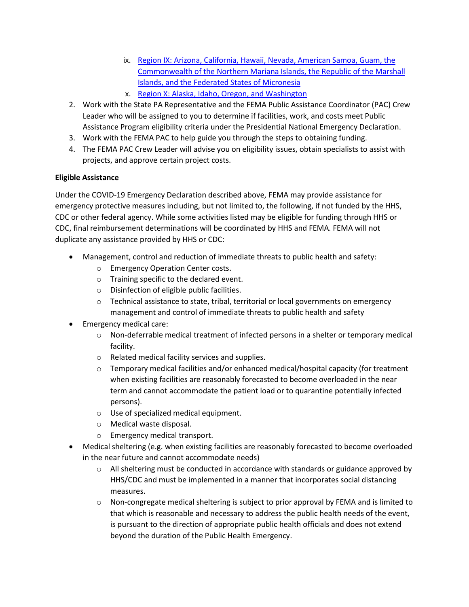- ix. [Region IX: Arizona, California, Hawaii, Nevada, American Samoa, Guam, the](https://www.fema.gov/fema-region-ix-arizona-california-hawaii-nevada-pacific-islands)  [Commonwealth of the Northern Mariana Islands, the Republic](https://www.fema.gov/fema-region-ix-arizona-california-hawaii-nevada-pacific-islands) of the Marshall [Islands, and the Federated States of Micronesia](https://www.fema.gov/fema-region-ix-arizona-california-hawaii-nevada-pacific-islands)
- x. [Region X: Alaska, Idaho, Oregon, and Washington](https://www.fema.gov/region-x-ak-id-or-wa)
- 2. Work with the State PA Representative and the FEMA Public Assistance Coordinator (PAC) Crew Leader who will be assigned to you to determine if facilities, work, and costs meet Public Assistance Program eligibility criteria under the Presidential National Emergency Declaration.
- 3. Work with the FEMA PAC to help guide you through the steps to obtaining funding.
- 4. The FEMA PAC Crew Leader will advise you on eligibility issues, obtain specialists to assist with projects, and approve certain project costs.

# **Eligible Assistance**

Under the COVID-19 Emergency Declaration described above, FEMA may provide assistance for emergency protective measures including, but not limited to, the following, if not funded by the HHS, CDC or other federal agency. While some activities listed may be eligible for funding through HHS or CDC, final reimbursement determinations will be coordinated by HHS and FEMA. FEMA will not duplicate any assistance provided by HHS or CDC:

- Management, control and reduction of immediate threats to public health and safety:
	- o Emergency Operation Center costs.
	- o Training specific to the declared event.
	- o Disinfection of eligible public facilities.
	- $\circ$  Technical assistance to state, tribal, territorial or local governments on emergency management and control of immediate threats to public health and safety
- Emergency medical care:
	- o Non‐deferrable medical treatment of infected persons in a shelter or temporary medical facility.
	- o Related medical facility services and supplies.
	- $\circ$  Temporary medical facilities and/or enhanced medical/hospital capacity (for treatment when existing facilities are reasonably forecasted to become overloaded in the near term and cannot accommodate the patient load or to quarantine potentially infected persons).
	- o Use of specialized medical equipment.
	- o Medical waste disposal.
	- o Emergency medical transport.
- Medical sheltering (e.g. when existing facilities are reasonably forecasted to become overloaded in the near future and cannot accommodate needs)
	- $\circ$  All sheltering must be conducted in accordance with standards or guidance approved by HHS/CDC and must be implemented in a manner that incorporates social distancing measures.
	- o Non‐congregate medical sheltering is subject to prior approval by FEMA and is limited to that which is reasonable and necessary to address the public health needs of the event, is pursuant to the direction of appropriate public health officials and does not extend beyond the duration of the Public Health Emergency.